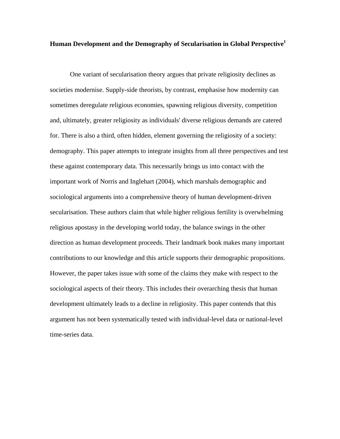# **Human Development and the Demography of Secularisation in Global Perspective1**

 One variant of secularisation theory argues that private religiosity declines as societies modernise. Supply-side theorists, by contrast, emphasise how modernity can sometimes deregulate religious economies, spawning religious diversity, competition and, ultimately, greater religiosity as individuals' diverse religious demands are catered for. There is also a third, often hidden, element governing the religiosity of a society: demography. This paper attempts to integrate insights from all three perspectives and test these against contemporary data. This necessarily brings us into contact with the important work of Norris and Inglehart (2004), which marshals demographic and sociological arguments into a comprehensive theory of human development-driven secularisation. These authors claim that while higher religious fertility is overwhelming religious apostasy in the developing world today, the balance swings in the other direction as human development proceeds. Their landmark book makes many important contributions to our knowledge and this article supports their demographic propositions. However, the paper takes issue with some of the claims they make with respect to the sociological aspects of their theory. This includes their overarching thesis that human development ultimately leads to a decline in religiosity. This paper contends that this argument has not been systematically tested with individual-level data or national-level time-series data.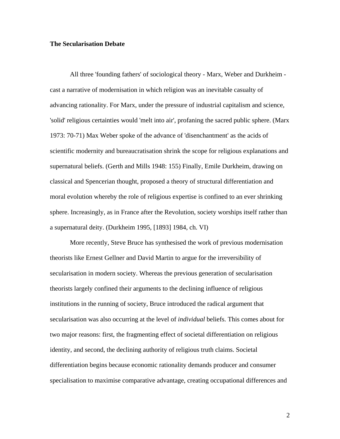## **The Secularisation Debate**

 All three 'founding fathers' of sociological theory - Marx, Weber and Durkheim cast a narrative of modernisation in which religion was an inevitable casualty of advancing rationality. For Marx, under the pressure of industrial capitalism and science, 'solid' religious certainties would 'melt into air', profaning the sacred public sphere. (Marx 1973: 70-71) Max Weber spoke of the advance of 'disenchantment' as the acids of scientific modernity and bureaucratisation shrink the scope for religious explanations and supernatural beliefs. (Gerth and Mills 1948: 155) Finally, Emile Durkheim, drawing on classical and Spencerian thought, proposed a theory of structural differentiation and moral evolution whereby the role of religious expertise is confined to an ever shrinking sphere. Increasingly, as in France after the Revolution, society worships itself rather than a supernatural deity. (Durkheim 1995, [1893] 1984, ch. VI)

 More recently, Steve Bruce has synthesised the work of previous modernisation theorists like Ernest Gellner and David Martin to argue for the irreversibility of secularisation in modern society. Whereas the previous generation of secularisation theorists largely confined their arguments to the declining influence of religious institutions in the running of society, Bruce introduced the radical argument that secularisation was also occurring at the level of *individual* beliefs. This comes about for two major reasons: first, the fragmenting effect of societal differentiation on religious identity, and second, the declining authority of religious truth claims. Societal differentiation begins because economic rationality demands producer and consumer specialisation to maximise comparative advantage, creating occupational differences and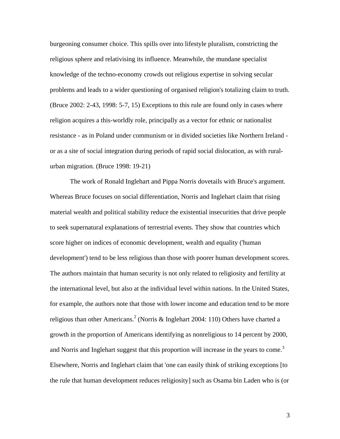burgeoning consumer choice. This spills over into lifestyle pluralism, constricting the religious sphere and relativising its influence. Meanwhile, the mundane specialist knowledge of the techno-economy crowds out religious expertise in solving secular problems and leads to a wider questioning of organised religion's totalizing claim to truth. (Bruce 2002: 2-43, 1998: 5-7, 15) Exceptions to this rule are found only in cases where religion acquires a this-worldly role, principally as a vector for ethnic or nationalist resistance - as in Poland under communism or in divided societies like Northern Ireland or as a site of social integration during periods of rapid social dislocation, as with ruralurban migration. (Bruce 1998: 19-21)

The work of Ronald Inglehart and Pippa Norris dovetails with Bruce's argument. Whereas Bruce focuses on social differentiation, Norris and Inglehart claim that rising material wealth and political stability reduce the existential insecurities that drive people to seek supernatural explanations of terrestrial events. They show that countries which score higher on indices of economic development, wealth and equality ('human development') tend to be less religious than those with poorer human development scores. The authors maintain that human security is not only related to religiosity and fertility at the international level, but also at the individual level within nations. In the United States, for example, the authors note that those with lower income and education tend to be more religious than other Americans.<sup>2</sup> (Norris & Inglehart 2004: 110) Others have charted a growth in the proportion of Americans identifying as nonreligious to 14 percent by 2000, and Norris and Inglehart suggest that this proportion will increase in the years to come.<sup>3</sup> Elsewhere, Norris and Inglehart claim that 'one can easily think of striking exceptions [to the rule that human development reduces religiosity] such as Osama bin Laden who is (or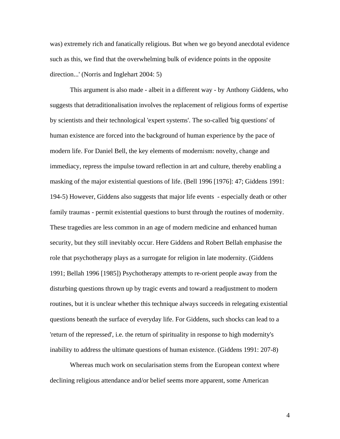was) extremely rich and fanatically religious. But when we go beyond anecdotal evidence such as this, we find that the overwhelming bulk of evidence points in the opposite direction...' (Norris and Inglehart 2004: 5)

This argument is also made - albeit in a different way - by Anthony Giddens, who suggests that detraditionalisation involves the replacement of religious forms of expertise by scientists and their technological 'expert systems'. The so-called 'big questions' of human existence are forced into the background of human experience by the pace of modern life. For Daniel Bell, the key elements of modernism: novelty, change and immediacy, repress the impulse toward reflection in art and culture, thereby enabling a masking of the major existential questions of life. (Bell 1996 [1976]: 47; Giddens 1991: 194-5) However, Giddens also suggests that major life events - especially death or other family traumas - permit existential questions to burst through the routines of modernity. These tragedies are less common in an age of modern medicine and enhanced human security, but they still inevitably occur. Here Giddens and Robert Bellah emphasise the role that psychotherapy plays as a surrogate for religion in late modernity. (Giddens 1991; Bellah 1996 [1985]) Psychotherapy attempts to re-orient people away from the disturbing questions thrown up by tragic events and toward a readjustment to modern routines, but it is unclear whether this technique always succeeds in relegating existential questions beneath the surface of everyday life. For Giddens, such shocks can lead to a 'return of the repressed', i.e. the return of spirituality in response to high modernity's inability to address the ultimate questions of human existence. (Giddens 1991: 207-8)

 Whereas much work on secularisation stems from the European context where declining religious attendance and/or belief seems more apparent, some American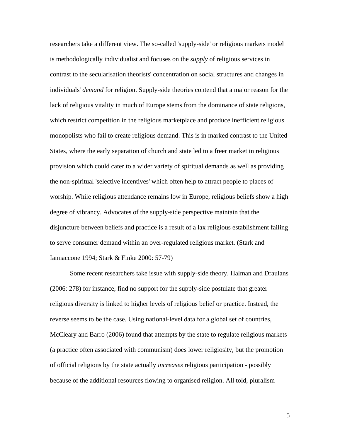researchers take a different view. The so-called 'supply-side' or religious markets model is methodologically individualist and focuses on the *supply* of religious services in contrast to the secularisation theorists' concentration on social structures and changes in individuals' *demand* for religion. Supply-side theories contend that a major reason for the lack of religious vitality in much of Europe stems from the dominance of state religions, which restrict competition in the religious marketplace and produce inefficient religious monopolists who fail to create religious demand. This is in marked contrast to the United States, where the early separation of church and state led to a freer market in religious provision which could cater to a wider variety of spiritual demands as well as providing the non-spiritual 'selective incentives' which often help to attract people to places of worship. While religious attendance remains low in Europe, religious beliefs show a high degree of vibrancy. Advocates of the supply-side perspective maintain that the disjuncture between beliefs and practice is a result of a lax religious establishment failing to serve consumer demand within an over-regulated religious market. (Stark and Iannaccone 1994; Stark & Finke 2000: 57-79)

 Some recent researchers take issue with supply-side theory. Halman and Draulans (2006: 278) for instance, find no support for the supply-side postulate that greater religious diversity is linked to higher levels of religious belief or practice. Instead, the reverse seems to be the case. Using national-level data for a global set of countries, McCleary and Barro (2006) found that attempts by the state to regulate religious markets (a practice often associated with communism) does lower religiosity, but the promotion of official religions by the state actually *increases* religious participation - possibly because of the additional resources flowing to organised religion. All told, pluralism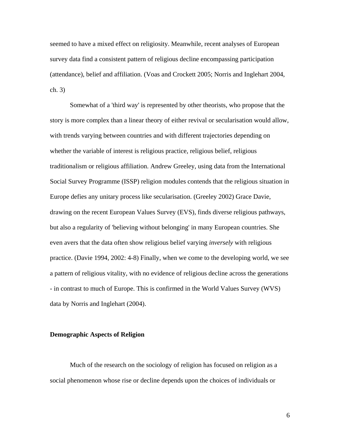seemed to have a mixed effect on religiosity. Meanwhile, recent analyses of European survey data find a consistent pattern of religious decline encompassing participation (attendance), belief and affiliation. (Voas and Crockett 2005; Norris and Inglehart 2004, ch. 3)

 Somewhat of a 'third way' is represented by other theorists, who propose that the story is more complex than a linear theory of either revival or secularisation would allow, with trends varying between countries and with different trajectories depending on whether the variable of interest is religious practice, religious belief, religious traditionalism or religious affiliation. Andrew Greeley, using data from the International Social Survey Programme (ISSP) religion modules contends that the religious situation in Europe defies any unitary process like secularisation. (Greeley 2002) Grace Davie, drawing on the recent European Values Survey (EVS), finds diverse religious pathways, but also a regularity of 'believing without belonging' in many European countries. She even avers that the data often show religious belief varying *inversely* with religious practice. (Davie 1994, 2002: 4-8) Finally, when we come to the developing world, we see a pattern of religious vitality, with no evidence of religious decline across the generations - in contrast to much of Europe. This is confirmed in the World Values Survey (WVS) data by Norris and Inglehart (2004).

# **Demographic Aspects of Religion**

 Much of the research on the sociology of religion has focused on religion as a social phenomenon whose rise or decline depends upon the choices of individuals or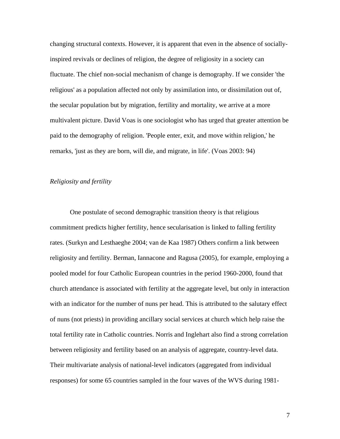changing structural contexts. However, it is apparent that even in the absence of sociallyinspired revivals or declines of religion, the degree of religiosity in a society can fluctuate. The chief non-social mechanism of change is demography. If we consider 'the religious' as a population affected not only by assimilation into, or dissimilation out of, the secular population but by migration, fertility and mortality, we arrive at a more multivalent picture. David Voas is one sociologist who has urged that greater attention be paid to the demography of religion. 'People enter, exit, and move within religion,' he remarks, 'just as they are born, will die, and migrate, in life'. (Voas 2003: 94)

# *Religiosity and fertility*

One postulate of second demographic transition theory is that religious commitment predicts higher fertility, hence secularisation is linked to falling fertility rates. (Surkyn and Lesthaeghe 2004; van de Kaa 1987) Others confirm a link between religiosity and fertility. Berman, Iannacone and Ragusa (2005), for example, employing a pooled model for four Catholic European countries in the period 1960-2000, found that church attendance is associated with fertility at the aggregate level, but only in interaction with an indicator for the number of nuns per head. This is attributed to the salutary effect of nuns (not priests) in providing ancillary social services at church which help raise the total fertility rate in Catholic countries. Norris and Inglehart also find a strong correlation between religiosity and fertility based on an analysis of aggregate, country-level data. Their multivariate analysis of national-level indicators (aggregated from individual responses) for some 65 countries sampled in the four waves of the WVS during 1981-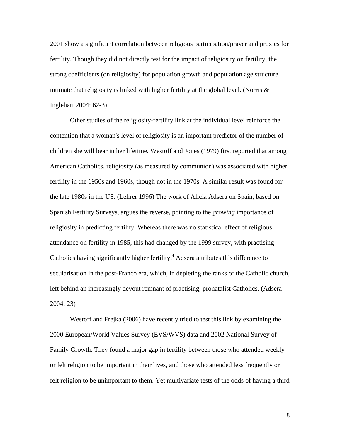2001 show a significant correlation between religious participation/prayer and proxies for fertility. Though they did not directly test for the impact of religiosity on fertility, the strong coefficients (on religiosity) for population growth and population age structure intimate that religiosity is linked with higher fertility at the global level. (Norris  $\&$ Inglehart 2004: 62-3)

Other studies of the religiosity-fertility link at the individual level reinforce the contention that a woman's level of religiosity is an important predictor of the number of children she will bear in her lifetime. Westoff and Jones (1979) first reported that among American Catholics, religiosity (as measured by communion) was associated with higher fertility in the 1950s and 1960s, though not in the 1970s. A similar result was found for the late 1980s in the US. (Lehrer 1996) The work of Alicia Adsera on Spain, based on Spanish Fertility Surveys, argues the reverse, pointing to the *growing* importance of religiosity in predicting fertility. Whereas there was no statistical effect of religious attendance on fertility in 1985, this had changed by the 1999 survey, with practising Catholics having significantly higher fertility.<sup>4</sup> Adsera attributes this difference to secularisation in the post-Franco era, which, in depleting the ranks of the Catholic church, left behind an increasingly devout remnant of practising, pronatalist Catholics. (Adsera 2004: 23)

Westoff and Frejka (2006) have recently tried to test this link by examining the 2000 European/World Values Survey (EVS/WVS) data and 2002 National Survey of Family Growth. They found a major gap in fertility between those who attended weekly or felt religion to be important in their lives, and those who attended less frequently or felt religion to be unimportant to them. Yet multivariate tests of the odds of having a third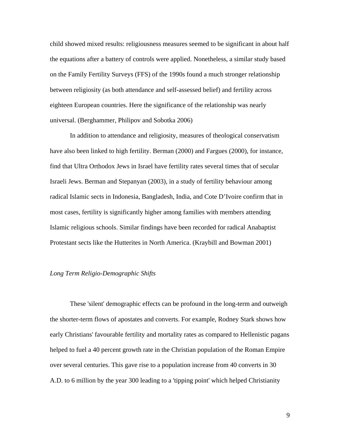child showed mixed results: religiousness measures seemed to be significant in about half the equations after a battery of controls were applied. Nonetheless, a similar study based on the Family Fertility Surveys (FFS) of the 1990s found a much stronger relationship between religiosity (as both attendance and self-assessed belief) and fertility across eighteen European countries. Here the significance of the relationship was nearly universal. (Berghammer, Philipov and Sobotka 2006)

In addition to attendance and religiosity, measures of theological conservatism have also been linked to high fertility. Berman (2000) and Fargues (2000), for instance, find that Ultra Orthodox Jews in Israel have fertility rates several times that of secular Israeli Jews. Berman and Stepanyan (2003), in a study of fertility behaviour among radical Islamic sects in Indonesia, Bangladesh, India, and Cote D'Ivoire confirm that in most cases, fertility is significantly higher among families with members attending Islamic religious schools. Similar findings have been recorded for radical Anabaptist Protestant sects like the Hutterites in North America. (Kraybill and Bowman 2001)

### *Long Term Religio-Demographic Shifts*

These 'silent' demographic effects can be profound in the long-term and outweigh the shorter-term flows of apostates and converts. For example, Rodney Stark shows how early Christians' favourable fertility and mortality rates as compared to Hellenistic pagans helped to fuel a 40 percent growth rate in the Christian population of the Roman Empire over several centuries. This gave rise to a population increase from 40 converts in 30 A.D. to 6 million by the year 300 leading to a 'tipping point' which helped Christianity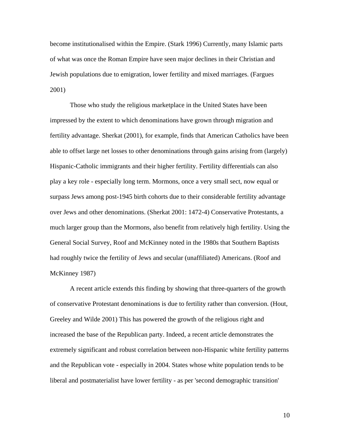become institutionalised within the Empire. (Stark 1996) Currently, many Islamic parts of what was once the Roman Empire have seen major declines in their Christian and Jewish populations due to emigration, lower fertility and mixed marriages. (Fargues 2001)

 Those who study the religious marketplace in the United States have been impressed by the extent to which denominations have grown through migration and fertility advantage. Sherkat (2001), for example, finds that American Catholics have been able to offset large net losses to other denominations through gains arising from (largely) Hispanic-Catholic immigrants and their higher fertility. Fertility differentials can also play a key role - especially long term. Mormons, once a very small sect, now equal or surpass Jews among post-1945 birth cohorts due to their considerable fertility advantage over Jews and other denominations. (Sherkat 2001: 1472-4) Conservative Protestants, a much larger group than the Mormons, also benefit from relatively high fertility. Using the General Social Survey, Roof and McKinney noted in the 1980s that Southern Baptists had roughly twice the fertility of Jews and secular (unaffiliated) Americans. (Roof and McKinney 1987)

A recent article extends this finding by showing that three-quarters of the growth of conservative Protestant denominations is due to fertility rather than conversion. (Hout, Greeley and Wilde 2001) This has powered the growth of the religious right and increased the base of the Republican party. Indeed, a recent article demonstrates the extremely significant and robust correlation between non-Hispanic white fertility patterns and the Republican vote - especially in 2004. States whose white population tends to be liberal and postmaterialist have lower fertility - as per 'second demographic transition'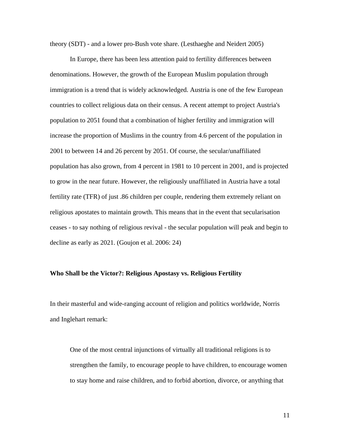theory (SDT) - and a lower pro-Bush vote share. (Lesthaeghe and Neidert 2005)

 In Europe, there has been less attention paid to fertility differences between denominations. However, the growth of the European Muslim population through immigration is a trend that is widely acknowledged. Austria is one of the few European countries to collect religious data on their census. A recent attempt to project Austria's population to 2051 found that a combination of higher fertility and immigration will increase the proportion of Muslims in the country from 4.6 percent of the population in 2001 to between 14 and 26 percent by 2051. Of course, the secular/unaffiliated population has also grown, from 4 percent in 1981 to 10 percent in 2001, and is projected to grow in the near future. However, the religiously unaffiliated in Austria have a total fertility rate (TFR) of just .86 children per couple, rendering them extremely reliant on religious apostates to maintain growth. This means that in the event that secularisation ceases - to say nothing of religious revival - the secular population will peak and begin to decline as early as 2021. (Goujon et al. 2006: 24)

### **Who Shall be the Victor?: Religious Apostasy vs. Religious Fertility**

In their masterful and wide-ranging account of religion and politics worldwide, Norris and Inglehart remark:

One of the most central injunctions of virtually all traditional religions is to strengthen the family, to encourage people to have children, to encourage women to stay home and raise children, and to forbid abortion, divorce, or anything that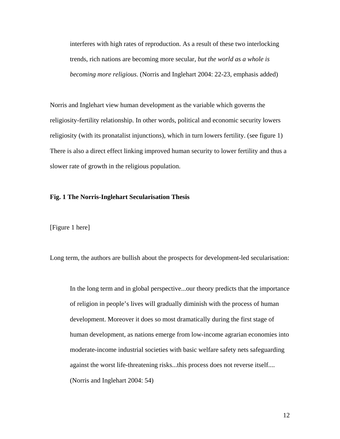interferes with high rates of reproduction. As a result of these two interlocking trends, rich nations are becoming more secular, *but the world as a whole is becoming more religious*. (Norris and Inglehart 2004: 22-23, emphasis added)

Norris and Inglehart view human development as the variable which governs the religiosity-fertility relationship. In other words, political and economic security lowers religiosity (with its pronatalist injunctions), which in turn lowers fertility. (see figure 1) There is also a direct effect linking improved human security to lower fertility and thus a slower rate of growth in the religious population.

## **Fig. 1 The Norris-Inglehart Secularisation Thesis**

[Figure 1 here]

Long term, the authors are bullish about the prospects for development-led secularisation:

In the long term and in global perspective...our theory predicts that the importance of religion in people's lives will gradually diminish with the process of human development. Moreover it does so most dramatically during the first stage of human development, as nations emerge from low-income agrarian economies into moderate-income industrial societies with basic welfare safety nets safeguarding against the worst life-threatening risks...this process does not reverse itself.... (Norris and Inglehart 2004: 54)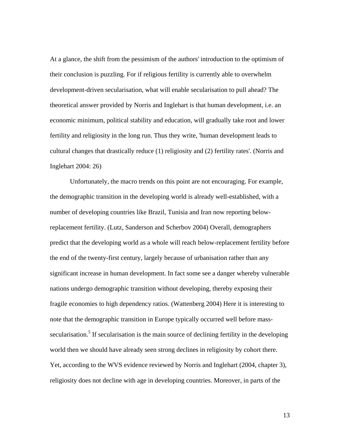At a glance, the shift from the pessimism of the authors' introduction to the optimism of their conclusion is puzzling. For if religious fertility is currently able to overwhelm development-driven secularisation, what will enable secularisation to pull ahead? The theoretical answer provided by Norris and Inglehart is that human development, i.e. an economic minimum, political stability and education, will gradually take root and lower fertility and religiosity in the long run. Thus they write, 'human development leads to cultural changes that drastically reduce (1) religiosity and (2) fertility rates'. (Norris and Inglehart 2004: 26)

Unfortunately, the macro trends on this point are not encouraging. For example, the demographic transition in the developing world is already well-established, with a number of developing countries like Brazil, Tunisia and Iran now reporting belowreplacement fertility. (Lutz, Sanderson and Scherbov 2004) Overall, demographers predict that the developing world as a whole will reach below-replacement fertility before the end of the twenty-first century, largely because of urbanisation rather than any significant increase in human development. In fact some see a danger whereby vulnerable nations undergo demographic transition without developing, thereby exposing their fragile economies to high dependency ratios. (Wattenberg 2004) Here it is interesting to note that the demographic transition in Europe typically occurred well before masssecularisation.<sup>5</sup> If secularisation is the main source of declining fertility in the developing world then we should have already seen strong declines in religiosity by cohort there. Yet, according to the WVS evidence reviewed by Norris and Inglehart (2004, chapter 3), religiosity does not decline with age in developing countries. Moreover, in parts of the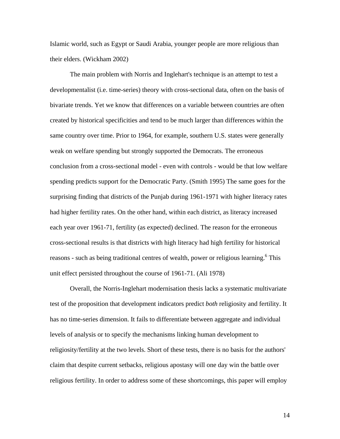Islamic world, such as Egypt or Saudi Arabia, younger people are more religious than their elders. (Wickham 2002)

The main problem with Norris and Inglehart's technique is an attempt to test a developmentalist (i.e. time-series) theory with cross-sectional data, often on the basis of bivariate trends. Yet we know that differences on a variable between countries are often created by historical specificities and tend to be much larger than differences within the same country over time. Prior to 1964, for example, southern U.S. states were generally weak on welfare spending but strongly supported the Democrats. The erroneous conclusion from a cross-sectional model - even with controls - would be that low welfare spending predicts support for the Democratic Party. (Smith 1995) The same goes for the surprising finding that districts of the Punjab during 1961-1971 with higher literacy rates had higher fertility rates. On the other hand, within each district, as literacy increased each year over 1961-71, fertility (as expected) declined. The reason for the erroneous cross-sectional results is that districts with high literacy had high fertility for historical reasons - such as being traditional centres of wealth, power or religious learning.<sup>6</sup> This unit effect persisted throughout the course of 1961-71. (Ali 1978)

Overall, the Norris-Inglehart modernisation thesis lacks a systematic multivariate test of the proposition that development indicators predict *both* religiosity and fertility. It has no time-series dimension. It fails to differentiate between aggregate and individual levels of analysis or to specify the mechanisms linking human development to religiosity/fertility at the two levels. Short of these tests, there is no basis for the authors' claim that despite current setbacks, religious apostasy will one day win the battle over religious fertility. In order to address some of these shortcomings, this paper will employ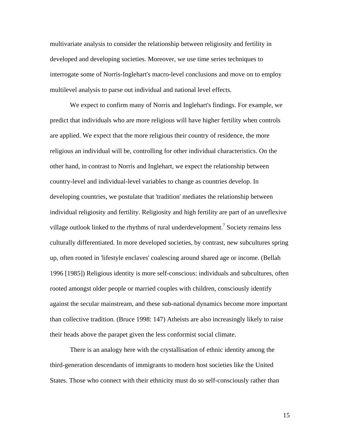multivariate analysis to consider the relationship between religiosity and fertility in developed and developing societies. Moreover, we use time series techniques to interrogate some of Norris-Inglehart's macro-level conclusions and move on to employ multilevel analysis to parse out individual and national level effects.

We expect to confirm many of Norris and Inglehart's findings. For example, we predict that individuals who are more religious will have higher fertility when controls are applied. We expect that the more religious their country of residence, the more religious an individual will be, controlling for other individual characteristics. On the other hand, in contrast to Norris and Inglehart, we expect the relationship between country-level and individual-level variables to change as countries develop. In developing countries, we postulate that 'tradition' mediates the relationship between individual religiosity and fertility. Religiosity and high fertility are part of an unreflexive village outlook linked to the rhythms of rural underdevelopment.<sup>7</sup> Society remains less culturally differentiated. In more developed societies, by contrast, new subcultures spring up, often rooted in 'lifestyle enclaves' coalescing around shared age or income. (Bellah 1996 [1985]) Religious identity is more self-conscious: individuals and subcultures, often rooted amongst older people or married couples with children, consciously identify against the secular mainstream, and these sub-national dynamics become more important than collective tradition. (Bruce 1998: 147) Atheists are also increasingly likely to raise their heads above the parapet given the less conformist social climate.

There is an analogy here with the crystallisation of ethnic identity among the third-generation descendants of immigrants to modern host societies like the United States. Those who connect with their ethnicity must do so self-consciously rather than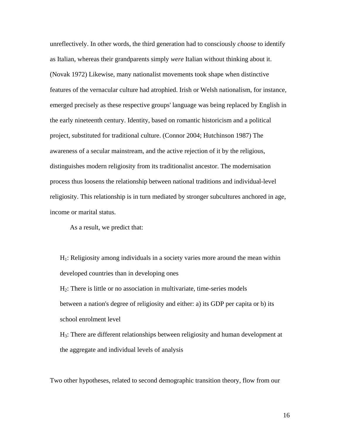unreflectively. In other words, the third generation had to consciously *choose* to identify as Italian, whereas their grandparents simply *were* Italian without thinking about it. (Novak 1972) Likewise, many nationalist movements took shape when distinctive features of the vernacular culture had atrophied. Irish or Welsh nationalism, for instance, emerged precisely as these respective groups' language was being replaced by English in the early nineteenth century. Identity, based on romantic historicism and a political project, substituted for traditional culture. (Connor 2004; Hutchinson 1987) The awareness of a secular mainstream, and the active rejection of it by the religious, distinguishes modern religiosity from its traditionalist ancestor. The modernisation process thus loosens the relationship between national traditions and individual-level religiosity. This relationship is in turn mediated by stronger subcultures anchored in age, income or marital status.

As a result, we predict that:

 $H<sub>1</sub>$ : Religiosity among individuals in a society varies more around the mean within developed countries than in developing ones H2: There is little or no association in multivariate, time-series models between a nation's degree of religiosity and either: a) its GDP per capita or b) its

school enrolment level

H3: There are different relationships between religiosity and human development at the aggregate and individual levels of analysis

Two other hypotheses, related to second demographic transition theory, flow from our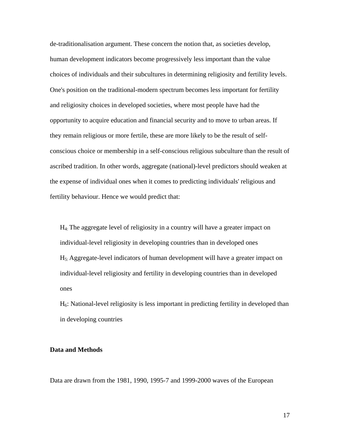de-traditionalisation argument. These concern the notion that, as societies develop, human development indicators become progressively less important than the value choices of individuals and their subcultures in determining religiosity and fertility levels. One's position on the traditional-modern spectrum becomes less important for fertility and religiosity choices in developed societies, where most people have had the opportunity to acquire education and financial security and to move to urban areas. If they remain religious or more fertile, these are more likely to be the result of selfconscious choice or membership in a self-conscious religious subculture than the result of ascribed tradition. In other words, aggregate (national)-level predictors should weaken at the expense of individual ones when it comes to predicting individuals' religious and fertility behaviour. Hence we would predict that:

H4: The aggregate level of religiosity in a country will have a greater impact on individual-level religiosity in developing countries than in developed ones H5: Aggregate-level indicators of human development will have a greater impact on individual-level religiosity and fertility in developing countries than in developed ones

H6: National-level religiosity is less important in predicting fertility in developed than in developing countries

### **Data and Methods**

Data are drawn from the 1981, 1990, 1995-7 and 1999-2000 waves of the European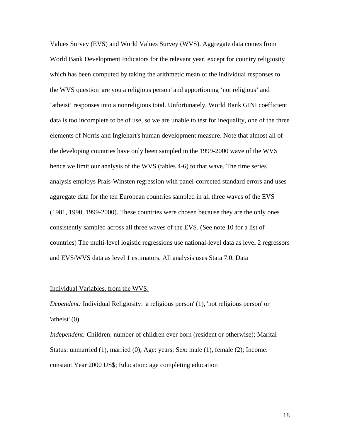Values Survey (EVS) and World Values Survey (WVS). Aggregate data comes from World Bank Development Indicators for the relevant year, except for country religiosity which has been computed by taking the arithmetic mean of the individual responses to the WVS question 'are you a religious person' and apportioning 'not religious' and 'atheist' responses into a nonreligious total. Unfortunately, World Bank GINI coefficient data is too incomplete to be of use, so we are unable to test for inequality, one of the three elements of Norris and Inglehart's human development measure. Note that almost all of the developing countries have only been sampled in the 1999-2000 wave of the WVS hence we limit our analysis of the WVS (tables 4-6) to that wave. The time series analysis employs Prais-Winsten regression with panel-corrected standard errors and uses aggregate data for the ten European countries sampled in all three waves of the EVS (1981, 1990, 1999-2000). These countries were chosen because they are the only ones consistently sampled across all three waves of the EVS. (See note 10 for a list of countries) The multi-level logistic regressions use national-level data as level 2 regressors and EVS/WVS data as level 1 estimators. All analysis uses Stata 7.0. Data

#### Individual Variables, from the WVS:

*Dependent:* Individual Religiosity: 'a religious person' (1), 'not religious person' or 'atheist' (0)

*Independent:* Children: number of children ever born (resident or otherwise); Marital Status: unmarried (1), married (0); Age: years; Sex: male (1), female (2); Income: constant Year 2000 US\$; Education: age completing education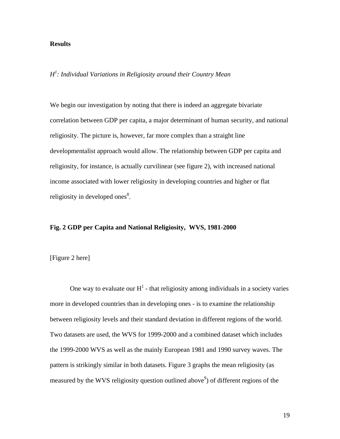# **Results**

*H1 : Individual Variations in Religiosity around their Country Mean* 

We begin our investigation by noting that there is indeed an aggregate bivariate correlation between GDP per capita, a major determinant of human security, and national religiosity. The picture is, however, far more complex than a straight line developmentalist approach would allow. The relationship between GDP per capita and religiosity, for instance, is actually curvilinear (see figure 2), with increased national income associated with lower religiosity in developing countries and higher or flat religiosity in developed ones<sup>8</sup>.

### **Fig. 2 GDP per Capita and National Religiosity, WVS, 1981-2000**

# [Figure 2 here]

One way to evaluate our  $H^1$  - that religiosity among individuals in a society varies more in developed countries than in developing ones - is to examine the relationship between religiosity levels and their standard deviation in different regions of the world. Two datasets are used, the WVS for 1999-2000 and a combined dataset which includes the 1999-2000 WVS as well as the mainly European 1981 and 1990 survey waves. The pattern is strikingly similar in both datasets. Figure 3 graphs the mean religiosity (as measured by the WVS religiosity question outlined above<sup>9</sup>) of different regions of the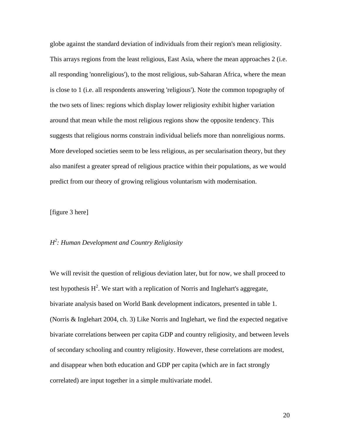globe against the standard deviation of individuals from their region's mean religiosity. This arrays regions from the least religious, East Asia, where the mean approaches 2 (i.e. all responding 'nonreligious'), to the most religious, sub-Saharan Africa, where the mean is close to 1 (i.e. all respondents answering 'religious'). Note the common topography of the two sets of lines: regions which display lower religiosity exhibit higher variation around that mean while the most religious regions show the opposite tendency. This suggests that religious norms constrain individual beliefs more than nonreligious norms. More developed societies seem to be less religious, as per secularisation theory, but they also manifest a greater spread of religious practice within their populations, as we would predict from our theory of growing religious voluntarism with modernisation.

# [figure 3 here]

# *H2 : Human Development and Country Religiosity*

We will revisit the question of religious deviation later, but for now, we shall proceed to test hypothesis  $H^2$ . We start with a replication of Norris and Inglehart's aggregate, bivariate analysis based on World Bank development indicators, presented in table 1. (Norris & Inglehart 2004, ch. 3) Like Norris and Inglehart, we find the expected negative bivariate correlations between per capita GDP and country religiosity, and between levels of secondary schooling and country religiosity. However, these correlations are modest, and disappear when both education and GDP per capita (which are in fact strongly correlated) are input together in a simple multivariate model.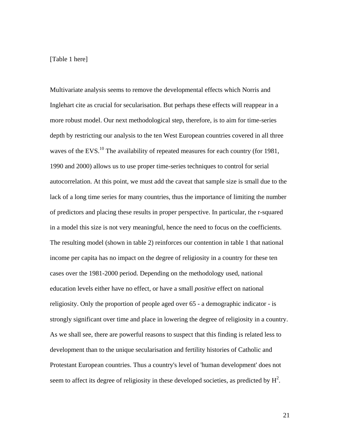# [Table 1 here]

Multivariate analysis seems to remove the developmental effects which Norris and Inglehart cite as crucial for secularisation. But perhaps these effects will reappear in a more robust model. Our next methodological step, therefore, is to aim for time-series depth by restricting our analysis to the ten West European countries covered in all three waves of the EVS.<sup>10</sup> The availability of repeated measures for each country (for 1981, 1990 and 2000) allows us to use proper time-series techniques to control for serial autocorrelation. At this point, we must add the caveat that sample size is small due to the lack of a long time series for many countries, thus the importance of limiting the number of predictors and placing these results in proper perspective. In particular, the r-squared in a model this size is not very meaningful, hence the need to focus on the coefficients. The resulting model (shown in table 2) reinforces our contention in table 1 that national income per capita has no impact on the degree of religiosity in a country for these ten cases over the 1981-2000 period. Depending on the methodology used, national education levels either have no effect, or have a small *positive* effect on national religiosity. Only the proportion of people aged over 65 - a demographic indicator - is strongly significant over time and place in lowering the degree of religiosity in a country. As we shall see, there are powerful reasons to suspect that this finding is related less to development than to the unique secularisation and fertility histories of Catholic and Protestant European countries. Thus a country's level of 'human development' does not seem to affect its degree of religiosity in these developed societies, as predicted by  $H^2$ .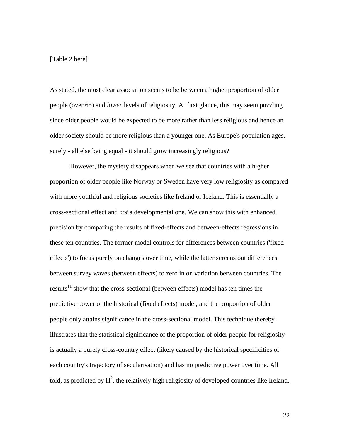# [Table 2 here]

As stated, the most clear association seems to be between a higher proportion of older people (over 65) and *lower* levels of religiosity. At first glance, this may seem puzzling since older people would be expected to be more rather than less religious and hence an older society should be more religious than a younger one. As Europe's population ages, surely - all else being equal - it should grow increasingly religious?

However, the mystery disappears when we see that countries with a higher proportion of older people like Norway or Sweden have very low religiosity as compared with more youthful and religious societies like Ireland or Iceland. This is essentially a cross-sectional effect and *not* a developmental one. We can show this with enhanced precision by comparing the results of fixed-effects and between-effects regressions in these ten countries. The former model controls for differences between countries ('fixed effects') to focus purely on changes over time, while the latter screens out differences between survey waves (between effects) to zero in on variation between countries. The results $11$  show that the cross-sectional (between effects) model has ten times the predictive power of the historical (fixed effects) model, and the proportion of older people only attains significance in the cross-sectional model. This technique thereby illustrates that the statistical significance of the proportion of older people for religiosity is actually a purely cross-country effect (likely caused by the historical specificities of each country's trajectory of secularisation) and has no predictive power over time. All told, as predicted by  $H^2$ , the relatively high religiosity of developed countries like Ireland,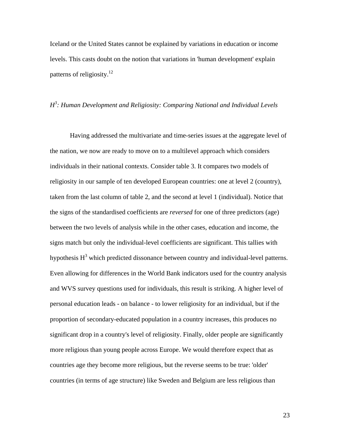Iceland or the United States cannot be explained by variations in education or income levels. This casts doubt on the notion that variations in 'human development' explain patterns of religiosity.<sup>12</sup>

# *H3 : Human Development and Religiosity: Comparing National and Individual Levels*

Having addressed the multivariate and time-series issues at the aggregate level of the nation, we now are ready to move on to a multilevel approach which considers individuals in their national contexts. Consider table 3. It compares two models of religiosity in our sample of ten developed European countries: one at level 2 (country), taken from the last column of table 2, and the second at level 1 (individual). Notice that the signs of the standardised coefficients are *reversed* for one of three predictors (age) between the two levels of analysis while in the other cases, education and income, the signs match but only the individual-level coefficients are significant. This tallies with hypothesis  $H<sup>3</sup>$  which predicted dissonance between country and individual-level patterns. Even allowing for differences in the World Bank indicators used for the country analysis and WVS survey questions used for individuals, this result is striking. A higher level of personal education leads - on balance - to lower religiosity for an individual, but if the proportion of secondary-educated population in a country increases, this produces no significant drop in a country's level of religiosity. Finally, older people are significantly more religious than young people across Europe. We would therefore expect that as countries age they become more religious, but the reverse seems to be true: 'older' countries (in terms of age structure) like Sweden and Belgium are less religious than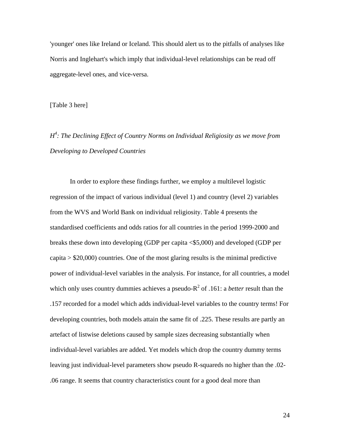'younger' ones like Ireland or Iceland. This should alert us to the pitfalls of analyses like Norris and Inglehart's which imply that individual-level relationships can be read off aggregate-level ones, and vice-versa.

[Table 3 here]

*H4 : The Declining Effect of Country Norms on Individual Religiosity as we move from Developing to Developed Countries* 

In order to explore these findings further, we employ a multilevel logistic regression of the impact of various individual (level 1) and country (level 2) variables from the WVS and World Bank on individual religiosity. Table 4 presents the standardised coefficients and odds ratios for all countries in the period 1999-2000 and breaks these down into developing (GDP per capita <\$5,000) and developed (GDP per capita  $>$  \$20,000) countries. One of the most glaring results is the minimal predictive power of individual-level variables in the analysis. For instance, for all countries, a model which only uses country dummies achieves a pseudo- $R^2$  of .161: a *better* result than the .157 recorded for a model which adds individual-level variables to the country terms! For developing countries, both models attain the same fit of .225. These results are partly an artefact of listwise deletions caused by sample sizes decreasing substantially when individual-level variables are added. Yet models which drop the country dummy terms leaving just individual-level parameters show pseudo R-squareds no higher than the .02- .06 range. It seems that country characteristics count for a good deal more than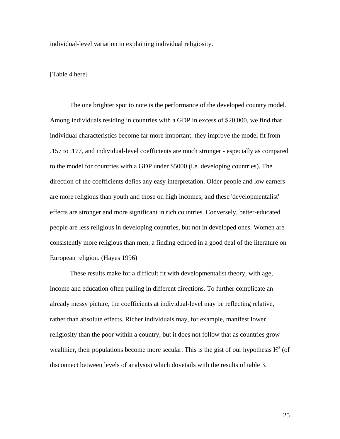individual-level variation in explaining individual religiosity.

[Table 4 here]

The one brighter spot to note is the performance of the developed country model. Among individuals residing in countries with a GDP in excess of \$20,000, we find that individual characteristics become far more important: they improve the model fit from .157 to .177, and individual-level coefficients are much stronger - especially as compared to the model for countries with a GDP under \$5000 (i.e. developing countries). The direction of the coefficients defies any easy interpretation. Older people and low earners are more religious than youth and those on high incomes, and these 'developmentalist' effects are stronger and more significant in rich countries. Conversely, better-educated people are less religious in developing countries, but not in developed ones. Women are consistently more religious than men, a finding echoed in a good deal of the literature on European religion. (Hayes 1996)

These results make for a difficult fit with developmentalist theory, with age, income and education often pulling in different directions. To further complicate an already messy picture, the coefficients at individual-level may be reflecting relative, rather than absolute effects. Richer individuals may, for example, manifest lower religiosity than the poor within a country, but it does not follow that as countries grow wealthier, their populations become more secular. This is the gist of our hypothesis  $H^3$  (of disconnect between levels of analysis) which dovetails with the results of table 3.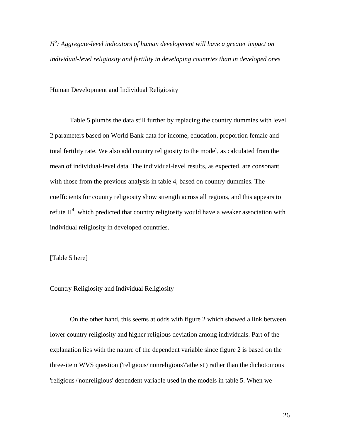*H5 : Aggregate-level indicators of human development will have a greater impact on individual-level religiosity and fertility in developing countries than in developed ones* 

Human Development and Individual Religiosity

Table 5 plumbs the data still further by replacing the country dummies with level 2 parameters based on World Bank data for income, education, proportion female and total fertility rate. We also add country religiosity to the model, as calculated from the mean of individual-level data. The individual-level results, as expected, are consonant with those from the previous analysis in table 4, based on country dummies. The coefficients for country religiosity show strength across all regions, and this appears to refute  $H^4$ , which predicted that country religiosity would have a weaker association with individual religiosity in developed countries.

[Table 5 here]

Country Religiosity and Individual Religiosity

On the other hand, this seems at odds with figure 2 which showed a link between lower country religiosity and higher religious deviation among individuals. Part of the explanation lies with the nature of the dependent variable since figure 2 is based on the three-item WVS question ('religious/'nonreligious'/'atheist') rather than the dichotomous 'religious'/'nonreligious' dependent variable used in the models in table 5. When we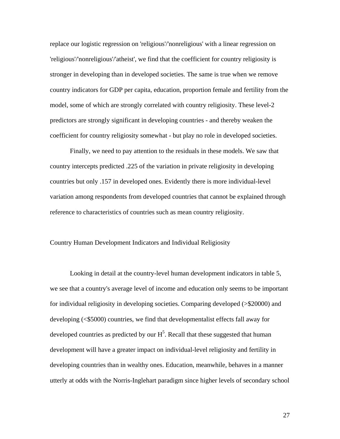replace our logistic regression on 'religious'/'nonreligious' with a linear regression on 'religious'/'nonreligious'/'atheist', we find that the coefficient for country religiosity is stronger in developing than in developed societies. The same is true when we remove country indicators for GDP per capita, education, proportion female and fertility from the model, some of which are strongly correlated with country religiosity. These level-2 predictors are strongly significant in developing countries - and thereby weaken the coefficient for country religiosity somewhat - but play no role in developed societies.

Finally, we need to pay attention to the residuals in these models. We saw that country intercepts predicted .225 of the variation in private religiosity in developing countries but only .157 in developed ones. Evidently there is more individual-level variation among respondents from developed countries that cannot be explained through reference to characteristics of countries such as mean country religiosity.

#### Country Human Development Indicators and Individual Religiosity

Looking in detail at the country-level human development indicators in table 5, we see that a country's average level of income and education only seems to be important for individual religiosity in developing societies. Comparing developed (>\$20000) and developing (<\$5000) countries, we find that developmentalist effects fall away for developed countries as predicted by our  $H^5$ . Recall that these suggested that human development will have a greater impact on individual-level religiosity and fertility in developing countries than in wealthy ones. Education, meanwhile, behaves in a manner utterly at odds with the Norris-Inglehart paradigm since higher levels of secondary school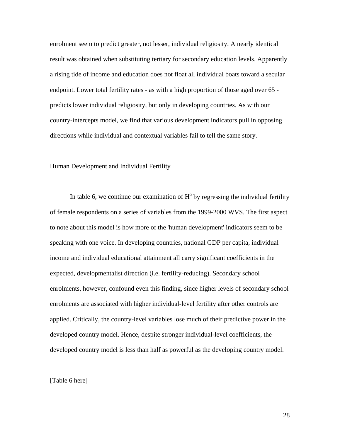enrolment seem to predict greater, not lesser, individual religiosity. A nearly identical result was obtained when substituting tertiary for secondary education levels. Apparently a rising tide of income and education does not float all individual boats toward a secular endpoint. Lower total fertility rates - as with a high proportion of those aged over 65 predicts lower individual religiosity, but only in developing countries. As with our country-intercepts model, we find that various development indicators pull in opposing directions while individual and contextual variables fail to tell the same story.

# Human Development and Individual Fertility

In table 6, we continue our examination of  $H<sup>5</sup>$  by regressing the individual fertility of female respondents on a series of variables from the 1999-2000 WVS. The first aspect to note about this model is how more of the 'human development' indicators seem to be speaking with one voice. In developing countries, national GDP per capita, individual income and individual educational attainment all carry significant coefficients in the expected, developmentalist direction (i.e. fertility-reducing). Secondary school enrolments, however, confound even this finding, since higher levels of secondary school enrolments are associated with higher individual-level fertility after other controls are applied. Critically, the country-level variables lose much of their predictive power in the developed country model. Hence, despite stronger individual-level coefficients, the developed country model is less than half as powerful as the developing country model.

#### [Table 6 here]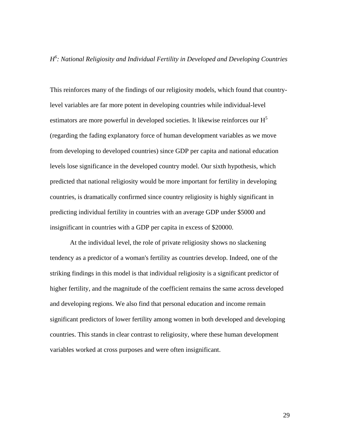# *H6 : National Religiosity and Individual Fertility in Developed and Developing Countries*

This reinforces many of the findings of our religiosity models, which found that countrylevel variables are far more potent in developing countries while individual-level estimators are more powerful in developed societies. It likewise reinforces our  $H<sup>5</sup>$ (regarding the fading explanatory force of human development variables as we move from developing to developed countries) since GDP per capita and national education levels lose significance in the developed country model. Our sixth hypothesis, which predicted that national religiosity would be more important for fertility in developing countries, is dramatically confirmed since country religiosity is highly significant in predicting individual fertility in countries with an average GDP under \$5000 and insignificant in countries with a GDP per capita in excess of \$20000.

At the individual level, the role of private religiosity shows no slackening tendency as a predictor of a woman's fertility as countries develop. Indeed, one of the striking findings in this model is that individual religiosity is a significant predictor of higher fertility, and the magnitude of the coefficient remains the same across developed and developing regions. We also find that personal education and income remain significant predictors of lower fertility among women in both developed and developing countries. This stands in clear contrast to religiosity, where these human development variables worked at cross purposes and were often insignificant.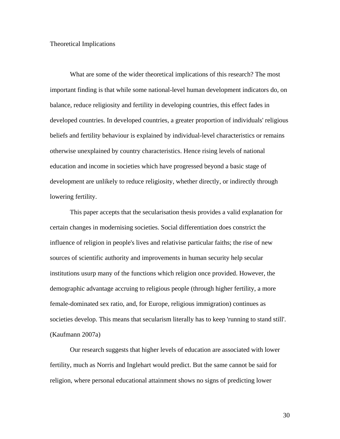# Theoretical Implications

What are some of the wider theoretical implications of this research? The most important finding is that while some national-level human development indicators do, on balance, reduce religiosity and fertility in developing countries, this effect fades in developed countries. In developed countries, a greater proportion of individuals' religious beliefs and fertility behaviour is explained by individual-level characteristics or remains otherwise unexplained by country characteristics. Hence rising levels of national education and income in societies which have progressed beyond a basic stage of development are unlikely to reduce religiosity, whether directly, or indirectly through lowering fertility.

This paper accepts that the secularisation thesis provides a valid explanation for certain changes in modernising societies. Social differentiation does constrict the influence of religion in people's lives and relativise particular faiths; the rise of new sources of scientific authority and improvements in human security help secular institutions usurp many of the functions which religion once provided. However, the demographic advantage accruing to religious people (through higher fertility, a more female-dominated sex ratio, and, for Europe, religious immigration) continues as societies develop. This means that secularism literally has to keep 'running to stand still'. (Kaufmann 2007a)

Our research suggests that higher levels of education are associated with lower fertility, much as Norris and Inglehart would predict. But the same cannot be said for religion, where personal educational attainment shows no signs of predicting lower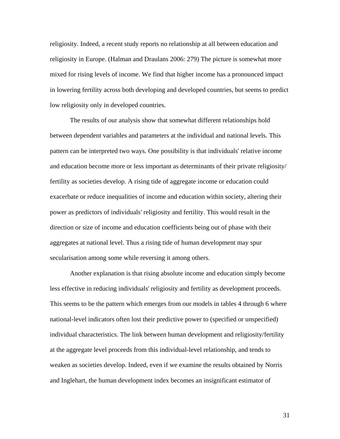religiosity. Indeed, a recent study reports no relationship at all between education and religiosity in Europe. (Halman and Draulans 2006: 279) The picture is somewhat more mixed for rising levels of income. We find that higher income has a pronounced impact in lowering fertility across both developing and developed countries, but seems to predict low religiosity only in developed countries.

The results of our analysis show that somewhat different relationships hold between dependent variables and parameters at the individual and national levels. This pattern can be interpreted two ways. One possibility is that individuals' relative income and education become more or less important as determinants of their private religiosity/ fertility as societies develop. A rising tide of aggregate income or education could exacerbate or reduce inequalities of income and education within society, altering their power as predictors of individuals' religiosity and fertility. This would result in the direction or size of income and education coefficients being out of phase with their aggregates at national level. Thus a rising tide of human development may spur secularisation among some while reversing it among others.

Another explanation is that rising absolute income and education simply become less effective in reducing individuals' religiosity and fertility as development proceeds. This seems to be the pattern which emerges from our models in tables 4 through 6 where national-level indicators often lost their predictive power to (specified or unspecified) individual characteristics. The link between human development and religiosity/fertility at the aggregate level proceeds from this individual-level relationship, and tends to weaken as societies develop. Indeed, even if we examine the results obtained by Norris and Inglehart, the human development index becomes an insignificant estimator of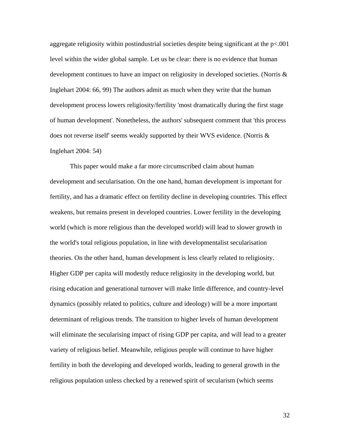aggregate religiosity within postindustrial societies despite being significant at the p<.001 level within the wider global sample. Let us be clear: there is no evidence that human development continues to have an impact on religiosity in developed societies. (Norris & Inglehart 2004: 66, 99) The authors admit as much when they write that the human development process lowers religiosity/fertility 'most dramatically during the first stage of human development'. Nonetheless, the authors' subsequent comment that 'this process does not reverse itself' seems weakly supported by their WVS evidence. (Norris  $\&$ Inglehart 2004: 54)

This paper would make a far more circumscribed claim about human development and secularisation. On the one hand, human development is important for fertility, and has a dramatic effect on fertility decline in developing countries. This effect weakens, but remains present in developed countries. Lower fertility in the developing world (which is more religious than the developed world) will lead to slower growth in the world's total religious population, in line with developmentalist secularisation theories. On the other hand, human development is less clearly related to religiosity. Higher GDP per capita will modestly reduce religiosity in the developing world, but rising education and generational turnover will make little difference, and country-level dynamics (possibly related to politics, culture and ideology) will be a more important determinant of religious trends. The transition to higher levels of human development will eliminate the secularising impact of rising GDP per capita, and will lead to a greater variety of religious belief. Meanwhile, religious people will continue to have higher fertility in both the developing and developed worlds, leading to general growth in the religious population unless checked by a renewed spirit of secularism (which seems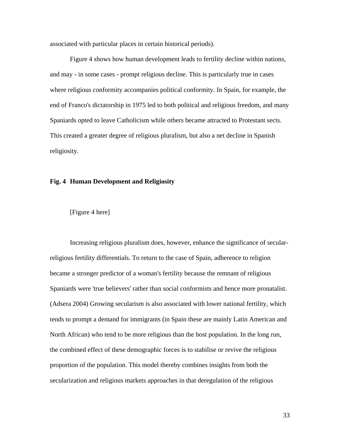associated with particular places in certain historical periods).

Figure 4 shows how human development leads to fertility decline within nations, and may - in some cases - prompt religious decline. This is particularly true in cases where religious conformity accompanies political conformity. In Spain, for example, the end of Franco's dictatorship in 1975 led to both political and religious freedom, and many Spaniards opted to leave Catholicism while others became attracted to Protestant sects. This created a greater degree of religious pluralism, but also a net decline in Spanish religiosity.

# **Fig. 4 Human Development and Religiosity**



Increasing religious pluralism does, however, enhance the significance of secularreligious fertility differentials. To return to the case of Spain, adherence to religion became a stronger predictor of a woman's fertility because the remnant of religious Spaniards were 'true believers' rather than social conformists and hence more pronatalist. (Adsera 2004) Growing secularism is also associated with lower national fertility, which tends to prompt a demand for immigrants (in Spain these are mainly Latin American and North African) who tend to be more religious than the host population. In the long run, the combined effect of these demographic forces is to stabilise or revive the religious proportion of the population. This model thereby combines insights from both the secularization and religious markets approaches in that deregulation of the religious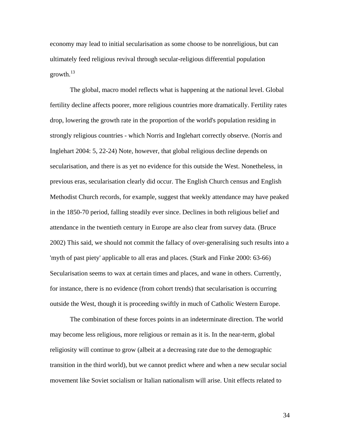economy may lead to initial secularisation as some choose to be nonreligious, but can ultimately feed religious revival through secular-religious differential population growth. $13$ 

The global, macro model reflects what is happening at the national level. Global fertility decline affects poorer, more religious countries more dramatically. Fertility rates drop, lowering the growth rate in the proportion of the world's population residing in strongly religious countries - which Norris and Inglehart correctly observe. (Norris and Inglehart 2004: 5, 22-24) Note, however, that global religious decline depends on secularisation, and there is as yet no evidence for this outside the West. Nonetheless, in previous eras, secularisation clearly did occur. The English Church census and English Methodist Church records, for example, suggest that weekly attendance may have peaked in the 1850-70 period, falling steadily ever since. Declines in both religious belief and attendance in the twentieth century in Europe are also clear from survey data. (Bruce 2002) This said, we should not commit the fallacy of over-generalising such results into a 'myth of past piety' applicable to all eras and places. (Stark and Finke 2000: 63-66) Secularisation seems to wax at certain times and places, and wane in others. Currently, for instance, there is no evidence (from cohort trends) that secularisation is occurring outside the West, though it is proceeding swiftly in much of Catholic Western Europe.

The combination of these forces points in an indeterminate direction. The world may become less religious, more religious or remain as it is. In the near-term, global religiosity will continue to grow (albeit at a decreasing rate due to the demographic transition in the third world), but we cannot predict where and when a new secular social movement like Soviet socialism or Italian nationalism will arise. Unit effects related to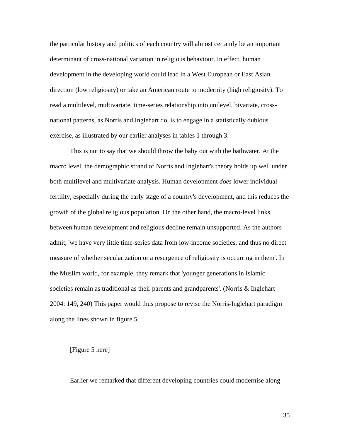the particular history and politics of each country will almost certainly be an important determinant of cross-national variation in religious behaviour. In effect, human development in the developing world could lead in a West European or East Asian direction (low religiosity) or take an American route to modernity (high religiosity). To read a multilevel, multivariate, time-series relationship into unilevel, bivariate, crossnational patterns, as Norris and Inglehart do, is to engage in a statistically dubious exercise, as illustrated by our earlier analyses in tables 1 through 3.

This is not to say that we should throw the baby out with the bathwater. At the macro level, the demographic strand of Norris and Inglehart's theory holds up well under both multilevel and multivariate analysis. Human development *does* lower individual fertility, especially during the early stage of a country's development, and this reduces the growth of the global religious population. On the other hand, the macro-level links between human development and religious decline remain unsupported. As the authors admit, 'we have very little time-series data from low-income societies, and thus no direct measure of whether secularization or a resurgence of religiosity is occurring in them'. In the Muslim world, for example, they remark that 'younger generations in Islamic societies remain as traditional as their parents and grandparents'. (Norris & Inglehart 2004: 149, 240) This paper would thus propose to revise the Norris-Inglehart paradigm along the lines shown in figure 5.

#### [Figure 5 here]

Earlier we remarked that different developing countries could modernise along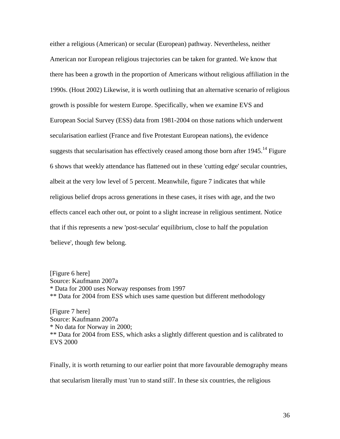either a religious (American) or secular (European) pathway. Nevertheless, neither American nor European religious trajectories can be taken for granted. We know that there has been a growth in the proportion of Americans without religious affiliation in the 1990s. (Hout 2002) Likewise, it is worth outlining that an alternative scenario of religious growth is possible for western Europe. Specifically, when we examine EVS and European Social Survey (ESS) data from 1981-2004 on those nations which underwent secularisation earliest (France and five Protestant European nations), the evidence suggests that secularisation has effectively ceased among those born after  $1945$ .<sup>14</sup> Figure 6 shows that weekly attendance has flattened out in these 'cutting edge' secular countries, albeit at the very low level of 5 percent. Meanwhile, figure 7 indicates that while religious belief drops across generations in these cases, it rises with age, and the two effects cancel each other out, or point to a slight increase in religious sentiment. Notice that if this represents a new 'post-secular' equilibrium, close to half the population 'believe', though few belong.

[Figure 6 here] Source: Kaufmann 2007a \* Data for 2000 uses Norway responses from 1997 \*\* Data for 2004 from ESS which uses same question but different methodology

[Figure 7 here] Source: Kaufmann 2007a \* No data for Norway in 2000; \*\* Data for 2004 from ESS, which asks a slightly different question and is calibrated to EVS 2000

Finally, it is worth returning to our earlier point that more favourable demography means that secularism literally must 'run to stand still'. In these six countries, the religious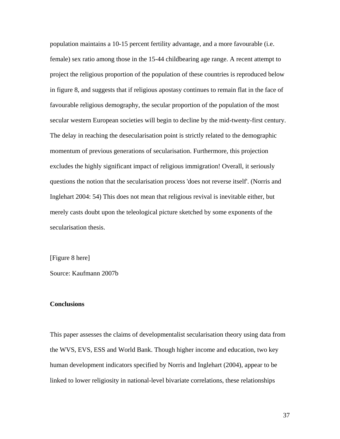population maintains a 10-15 percent fertility advantage, and a more favourable (i.e. female) sex ratio among those in the 15-44 childbearing age range. A recent attempt to project the religious proportion of the population of these countries is reproduced below in figure 8, and suggests that if religious apostasy continues to remain flat in the face of favourable religious demography, the secular proportion of the population of the most secular western European societies will begin to decline by the mid-twenty-first century. The delay in reaching the desecularisation point is strictly related to the demographic momentum of previous generations of secularisation. Furthermore, this projection excludes the highly significant impact of religious immigration! Overall, it seriously questions the notion that the secularisation process 'does not reverse itself'. (Norris and Inglehart 2004: 54) This does not mean that religious revival is inevitable either, but merely casts doubt upon the teleological picture sketched by some exponents of the secularisation thesis.

[Figure 8 here]

Source: Kaufmann 2007b

### **Conclusions**

This paper assesses the claims of developmentalist secularisation theory using data from the WVS, EVS, ESS and World Bank. Though higher income and education, two key human development indicators specified by Norris and Inglehart (2004), appear to be linked to lower religiosity in national-level bivariate correlations, these relationships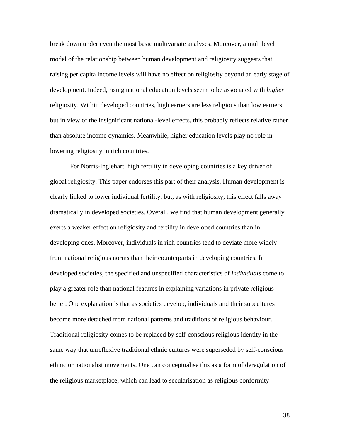break down under even the most basic multivariate analyses. Moreover, a multilevel model of the relationship between human development and religiosity suggests that raising per capita income levels will have no effect on religiosity beyond an early stage of development. Indeed, rising national education levels seem to be associated with *higher* religiosity. Within developed countries, high earners are less religious than low earners, but in view of the insignificant national-level effects, this probably reflects relative rather than absolute income dynamics. Meanwhile, higher education levels play no role in lowering religiosity in rich countries.

For Norris-Inglehart, high fertility in developing countries is a key driver of global religiosity. This paper endorses this part of their analysis. Human development is clearly linked to lower individual fertility, but, as with religiosity, this effect falls away dramatically in developed societies. Overall, we find that human development generally exerts a weaker effect on religiosity and fertility in developed countries than in developing ones. Moreover, individuals in rich countries tend to deviate more widely from national religious norms than their counterparts in developing countries. In developed societies, the specified and unspecified characteristics of *individuals* come to play a greater role than national features in explaining variations in private religious belief. One explanation is that as societies develop, individuals and their subcultures become more detached from national patterns and traditions of religious behaviour. Traditional religiosity comes to be replaced by self-conscious religious identity in the same way that unreflexive traditional ethnic cultures were superseded by self-conscious ethnic or nationalist movements. One can conceptualise this as a form of deregulation of the religious marketplace, which can lead to secularisation as religious conformity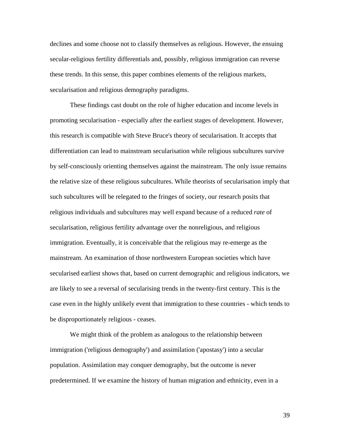declines and some choose not to classify themselves as religious. However, the ensuing secular-religious fertility differentials and, possibly, religious immigration can reverse these trends. In this sense, this paper combines elements of the religious markets, secularisation and religious demography paradigms.

 These findings cast doubt on the role of higher education and income levels in promoting secularisation - especially after the earliest stages of development. However, this research is compatible with Steve Bruce's theory of secularisation. It accepts that differentiation can lead to mainstream secularisation while religious subcultures survive by self-consciously orienting themselves against the mainstream. The only issue remains the relative size of these religious subcultures. While theorists of secularisation imply that such subcultures will be relegated to the fringes of society, our research posits that religious individuals and subcultures may well expand because of a reduced *rate* of secularisation, religious fertility advantage over the nonreligious, and religious immigration. Eventually, it is conceivable that the religious may re-emerge as the mainstream. An examination of those northwestern European societies which have secularised earliest shows that, based on current demographic and religious indicators, we are likely to see a reversal of secularising trends in the twenty-first century. This is the case even in the highly unlikely event that immigration to these countries - which tends to be disproportionately religious - ceases.

We might think of the problem as analogous to the relationship between immigration ('religious demography') and assimilation ('apostasy') into a secular population. Assimilation may conquer demography, but the outcome is never predetermined. If we examine the history of human migration and ethnicity, even in a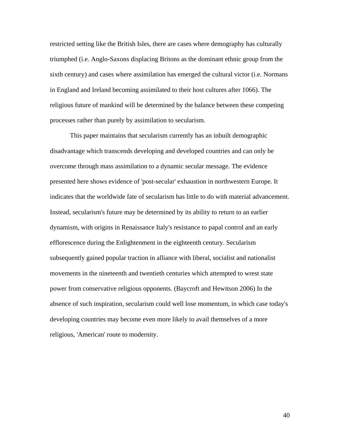restricted setting like the British Isles, there are cases where demography has culturally triumphed (i.e. Anglo-Saxons displacing Britons as the dominant ethnic group from the sixth century) and cases where assimilation has emerged the cultural victor (i.e. Normans in England and Ireland becoming assimilated to their host cultures after 1066). The religious future of mankind will be determined by the balance between these competing processes rather than purely by assimilation to secularism.

This paper maintains that secularism currently has an inbuilt demographic disadvantage which transcends developing and developed countries and can only be overcome through mass assimilation to a dynamic secular message. The evidence presented here shows evidence of 'post-secular' exhaustion in northwestern Europe. It indicates that the worldwide fate of secularism has little to do with material advancement. Instead, secularism's future may be determined by its ability to return to an earlier dynamism, with origins in Renaissance Italy's resistance to papal control and an early efflorescence during the Enlightenment in the eighteenth century. Secularism subsequently gained popular traction in alliance with liberal, socialist and nationalist movements in the nineteenth and twentieth centuries which attempted to wrest state power from conservative religious opponents. (Baycroft and Hewitson 2006) In the absence of such inspiration, secularism could well lose momentum, in which case today's developing countries may become even more likely to avail themselves of a more religious, 'American' route to modernity.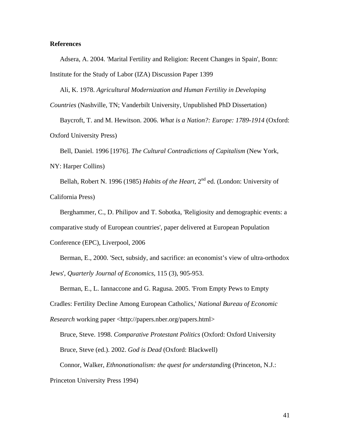# **References**

Adsera, A. 2004. 'Marital Fertility and Religion: Recent Changes in Spain', Bonn: Institute for the Study of Labor (IZA) Discussion Paper 1399

Ali, K. 1978. *Agricultural Modernization and Human Fertility in Developing* 

*Countries* (Nashville, TN; Vanderbilt University, Unpublished PhD Dissertation)

Baycroft, T. and M. Hewitson. 2006. *What is a Nation?: Europe: 1789-1914* (Oxford: Oxford University Press)

Bell, Daniel. 1996 [1976]. *The Cultural Contradictions of Capitalism* (New York, NY: Harper Collins)

Bellah, Robert N. 1996 (1985) *Habits of the Heart*, 2nd ed. (London: University of California Press)

Berghammer, C., D. Philipov and T. Sobotka, 'Religiosity and demographic events: a comparative study of European countries', paper delivered at European Population Conference (EPC), Liverpool, 2006

Berman, E., 2000. 'Sect, subsidy, and sacrifice: an economist's view of ultra-orthodox Jews', *Quarterly Journal of Economics*, 115 (3), 905-953.

Berman, E., L. Iannaccone and G. Ragusa. 2005. 'From Empty Pews to Empty

Cradles: Fertility Decline Among European Catholics,' *National Bureau of Economic* 

*Research* working paper <http://papers.nber.org/papers.html>

Bruce, Steve. 1998. *Comparative Protestant Politics* (Oxford: Oxford University Bruce, Steve (ed.). 2002. *God is Dead* (Oxford: Blackwell)

Connor, Walker, *Ethnonationalism: the quest for understandin*g (Princeton, N.J.:

Princeton University Press 1994)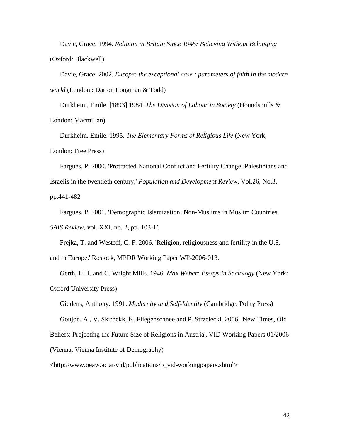Davie, Grace. 1994. *Religion in Britain Since 1945: Believing Without Belonging*  (Oxford: Blackwell)

Davie, Grace. 2002. *Europe: the exceptional case : parameters of faith in the modern world* (London : Darton Longman & Todd)

Durkheim, Emile. [1893] 1984. *The Division of Labour in Society* (Houndsmills & London: Macmillan)

Durkheim, Emile. 1995. *The Elementary Forms of Religious Life* (New York, London: Free Press)

Fargues, P. 2000. 'Protracted National Conflict and Fertility Change: Palestinians and Israelis in the twentieth century,' *Population and Development Review*, Vol.26, No.3, pp.441-482

Fargues, P. 2001. 'Demographic Islamization: Non-Muslims in Muslim Countries, *SAIS Review*, vol. XXI, no. 2, pp. 103-16

Frejka, T. and Westoff, C. F. 2006. 'Religion, religiousness and fertility in the U.S. and in Europe,' Rostock, MPDR Working Paper WP-2006-013.

Gerth, H.H. and C. Wright Mills. 1946. *Max Weber: Essays in Sociology* (New York: Oxford University Press)

Giddens, Anthony. 1991. *Modernity and Self-Identity* (Cambridge: Polity Press)

Goujon, A., V. Skirbekk, K. Fliegenschnee and P. Strzelecki. 2006. 'New Times, Old Beliefs: Projecting the Future Size of Religions in Austria', VID Working Papers 01/2006 (Vienna: Vienna Institute of Demography)

<http://www.oeaw.ac.at/vid/publications/p\_vid-workingpapers.shtml>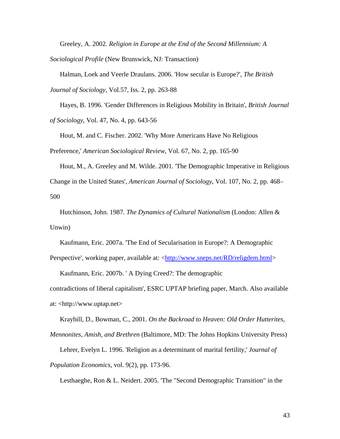Greeley, A. 2002. *Religion in Europe at the End of the Second Millennium: A* 

*Sociological Profile* (New Brunswick, NJ: Transaction)

Halman, Loek and Veerle Draulans. 2006. 'How secular is Europe?', *The British Journal of Sociology*, Vol.57, Iss. 2, pp. 263-88

Hayes, B. 1996. 'Gender Differences in Religious Mobility in Britain', *British Journal of Sociology*, Vol. 47, No. 4, pp. 643-56

Hout, M. and C. Fischer. 2002. 'Why More Americans Have No Religious

Preference,' *American Sociological Review*, Vol. 67, No. 2, pp. 165-90

Hout, M., A. Greeley and M. Wilde. 2001. 'The Demographic Imperative in Religious Change in the United States', *American Journal of Sociology*, Vol. 107, No. 2, pp. 468– 500

Hutchinson, John. 1987. *The Dynamics of Cultural Nationalism* (London: Allen & Unwin)

Kaufmann, Eric. 2007a. 'The End of Secularisation in Europe?: A Demographic Perspective', working paper, available at: <http://www.sneps.net/RD/religdem.html>

Kaufmann, Eric. 2007b. ' A Dying Creed?: The demographic contradictions of liberal capitalism', ESRC UPTAP briefing paper, March. Also available at: <http://www.uptap.net>

Kraybill, D., Bowman, C., 2001. *On the Backroad to Heaven: Old Order Hutterites, Mennonites, Amish, and Brethren* (Baltimore, MD: The Johns Hopkins University Press)

Lehrer, Evelyn L. 1996. 'Religion as a determinant of marital fertility,' *Journal of Population Economics*, vol. 9(2), pp. 173-96.

Lesthaeghe, Ron & L. Neidert. 2005. 'The "Second Demographic Transition" in the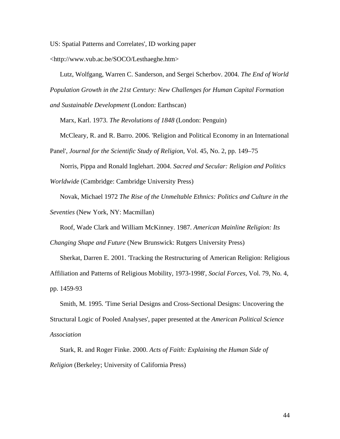US: Spatial Patterns and Correlates', ID working paper

<http://www.vub.ac.be/SOCO/Lesthaeghe.htm>

Lutz, Wolfgang, Warren C. Sanderson, and Sergei Scherbov. 2004. *The End of World Population Growth in the 21st Century: New Challenges for Human Capital Formation and Sustainable Development* (London: Earthscan)

Marx, Karl. 1973. *The Revolutions of 1848* (London: Penguin)

McCleary, R. and R. Barro. 2006. 'Religion and Political Economy in an International

Panel', *Journal for the Scientific Study of Religion*, Vol. 45, No. 2, pp. 149–75

Norris, Pippa and Ronald Inglehart. 2004. *Sacred and Secular: Religion and Politics Worldwide* (Cambridge: Cambridge University Press)

Novak, Michael 1972 *The Rise of the Unmeltable Ethnics: Politics and Culture in the* 

*Seventies* (New York, NY: Macmillan)

Roof, Wade Clark and William McKinney. 1987. *American Mainline Religion: Its* 

*Changing Shape and Future* (New Brunswick: Rutgers University Press)

Sherkat, Darren E. 2001. 'Tracking the Restructuring of American Religion: Religious Affiliation and Patterns of Religious Mobility, 1973-1998', *Social Forces*, Vol. 79, No. 4, pp. 1459-93

Smith, M. 1995. 'Time Serial Designs and Cross-Sectional Designs: Uncovering the Structural Logic of Pooled Analyses', paper presented at the *American Political Science Association* 

Stark, R. and Roger Finke. 2000. *Acts of Faith: Explaining the Human Side of Religion* (Berkeley; University of California Press)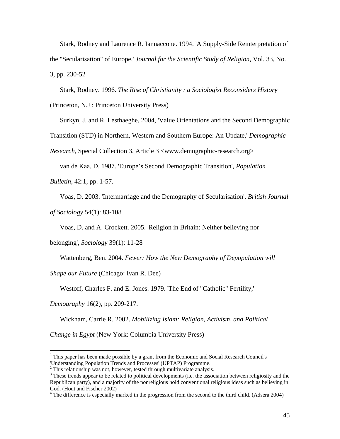Stark, Rodney and Laurence R. Iannaccone. 1994. 'A Supply-Side Reinterpretation of the "Secularisation" of Europe,' *Journal for the Scientific Study of Religion*, Vol. 33, No. 3, pp. 230-52

Stark, Rodney. 1996. *The Rise of Christianity : a Sociologist Reconsiders History* (Princeton, N.J : Princeton University Press)

Surkyn, J. and R. Lesthaeghe, 2004, 'Value Orientations and the Second Demographic

Transition (STD) in Northern, Western and Southern Europe: An Update,' *Demographic* 

*Research*, Special Collection 3, Article 3 <www.demographic-research.org>

van de Kaa, D. 1987. 'Europe's Second Demographic Transition', *Population* 

*Bulletin*, 42:1, pp. 1-57.

Voas, D. 2003. 'Intermarriage and the Demography of Secularisation', *British Journal* 

*of Sociology* 54(1): 83-108

Voas, D. and A. Crockett. 2005. 'Religion in Britain: Neither believing nor

belonging', *Sociology* 39(1): 11-28

Wattenberg, Ben. 2004. *Fewer: How the New Demography of Depopulation will* 

*Shape our Future* (Chicago: Ivan R. Dee)

Westoff, Charles F. and E. Jones. 1979. 'The End of "Catholic" Fertility,'

*Demography* 16(2), pp. 209-217.

 $\overline{a}$ 

Wickham, Carrie R. 2002. *Mobilizing Islam: Religion, Activism, and Political* 

*Change in Egypt* (New York: Columbia University Press)

<sup>&</sup>lt;sup>1</sup> This paper has been made possible by a grant from the Economic and Social Research Council's 'Understanding Population Trends and Processes' (UPTAP) Programme.

 $^2$  This relationship was not, however, tested through multivariate analysis.

 $3$  These trends appear to be related to political developments (i.e. the association between religiosity and the Republican party), and a majority of the nonreligious hold conventional religious ideas such as believing in God. (Hout and Fischer 2002)

<sup>&</sup>lt;sup>4</sup> The difference is especially marked in the progression from the second to the third child. (Adsera 2004)